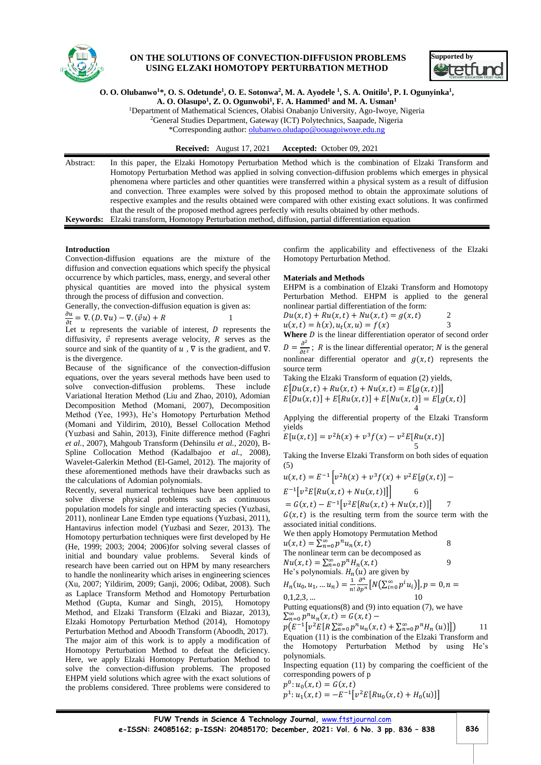

# **ON THE SOLUTIONS OF CONVECTION-DIFFUSION PROBLEMS USING ELZAKI HOMOTOPY PERTURBATION METHOD**



**O. O. Olubanwo<sup>1</sup>\*, O. S. Odetunde<sup>1</sup> , O. E. Sotonwa<sup>2</sup> , M. A. Ayodele <sup>1</sup> , S. A. Onitilo<sup>1</sup> , P. I. Ogunyinka<sup>1</sup> ,** 

**A. O. Olasupo<sup>1</sup> , Z. O. Ogunwobi<sup>1</sup> , F. A. Hammed<sup>1</sup> and M. A. Usman<sup>1</sup>**

<sup>1</sup>Department of Mathematical Sciences, Olabisi Onabanjo University, Ago-Iwoye, Nigeria <sup>2</sup>General Studies Department, Gateway (ICT) Polytechnics, Saapade, Nigeria

\*Corresponding author: [olubanwo.oludapo@oouagoiwoye.edu.ng](mailto:olubanwo.oludapo@oouagoiwoye.edu.ng)

**Received:** August 17, 2021 **Accepted:** October 09, 2021

| Abstract: | In this paper, the Elzaki Homotopy Perturbation Method which is the combination of Elzaki Transform and           |
|-----------|-------------------------------------------------------------------------------------------------------------------|
|           | Homotopy Perturbation Method was applied in solving convection-diffusion problems which emerges in physical       |
|           | phenomena where particles and other quantities were transferred within a physical system as a result of diffusion |
|           | and convection. Three examples were solved by this proposed method to obtain the approximate solutions of         |
|           | respective examples and the results obtained were compared with other existing exact solutions. It was confirmed  |
|           | that the result of the proposed method agrees perfectly with results obtained by other methods.                   |
|           | <b>Keywords:</b> Elzaki transform, Homotopy Perturbation method, diffusion, partial differentiation equation      |

### **Introduction**

Convection-diffusion equations are the mixture of the diffusion and convection equations which specify the physical occurrence by which particles, mass, energy, and several other physical quantities are moved into the physical system through the process of diffusion and convection.

Generally, the convection-diffusion equation is given as:

$$
\frac{\partial u}{\partial t} = \nabla. (D. \nabla u) - \nabla. (\vec{\nu}u) + R \tag{1}
$$

Let  $u$  represents the variable of interest,  $D$  represents the diffusivity,  $\vec{v}$  represents average velocity, R serves as the source and sink of the quantity of  $u$ ,  $\nabla$  is the gradient, and  $\nabla$ . is the divergence.

Because of the significance of the convection-diffusion equations, over the years several methods have been used to solve convection-diffusion problems. These include Variational Iteration Method (Liu and Zhao, 2010), Adomian Decomposition Method (Momani, 2007), Decomposition Method (Yee, 1993), He's Homotopy Perturbation Method (Momani and Yildirim, 2010), Bessel Collocation Method (Yuzbasi and Sahin, 2013), Finite difference method (Faghri *et al.*, 2007), Mahgoub Transform (Dehinsilu *et al.,* 2020), B-Spline Collocation Method (Kadalbajoo *et al.*, 2008), Wavelet-Galerkin Method (El-Gamel, 2012). The majority of these aforementioned methods have their drawbacks such as the calculations of Adomian polynomials.

Recently, several numerical techniques have been applied to solve diverse physical problems such as continuous population models for single and interacting species (Yuzbasi, 2011), nonlinear Lane Emden type equations (Yuzbasi, 2011), Hantavirus infection model (Yuzbasi and Sezer, 2013). The Homotopy perturbation techniques were first developed by He (He, 1999; 2003; 2004; 2006)for solving several classes of initial and boundary value problems. Several kinds of research have been carried out on HPM by many researchers to handle the nonlinearity which arises in engineering sciences (Xu, 2007; Yildirim, 2009; Ganji, 2006; Odibat, 2008). Such as Laplace Transform Method and Homotopy Perturbation Method (Gupta, Kumar and Singh, 2015), Homotopy Method, and Elzaki Transform (Elzaki and Biazar, 2013), Elzaki Homotopy Perturbation Method (2014), Homotopy Perturbation Method and Aboodh Transform (Aboodh, 2017). The major aim of this work is to apply a modification of Homotopy Perturbation Method to defeat the deficiency. Here, we apply Elzaki Homotopy Perturbation Method to solve the convection-diffusion problems. The proposed EHPM yield solutions which agree with the exact solutions of the problems considered. Three problems were considered to

confirm the applicability and effectiveness of the Elzaki Homotopy Perturbation Method.

## **Materials and Methods**

EHPM is a combination of Elzaki Transform and Homotopy Perturbation Method. EHPM is applied to the general nonlinear partial differentiation of the form:

 $Du(x,t) + Ru(x,t) + Nu(x,t) = g(x,t)$  2  $u(x,t) = h(x), u_t(x,u) = f(x)$  3

**Where**  $D$  is the linear differentiation operator of second order

 $D=\frac{\partial^2}{\partial t^2}$  $\frac{\partial}{\partial t^2}$ ; *R* is the linear differential operator; *N* is the general nonlinear differential operator and  $g(x,t)$  represents the source term

Taking the Elzaki Transform of equation (2) yields,

$$
E[Du(x,t) + Ru(x,t) + Nu(x,t) = E[g(x,t)]]
$$
  

$$
E[Du(x,t)] + E[Ru(x,t)] + E[Nu(x,t)] = E[g(x,t)]
$$

Applying the differential property of the Elzaki Transform yields

$$
E[u(x,t)] = v^2h(x) + v^3f(x) - v^2E[Ru(x,t)]
$$
5

Taking the Inverse Elzaki Transform on both sides of equation (5)

$$
u(x,t) = E^{-1} \left[ v^2 h(x) + v^3 f(x) + v^2 E[g(x,t)] - \right]
$$

$$
E^{-1}[v^2E[Ru(x,t) + Nu(x,t)]] \Big]
$$
 6

 $= G(x,t) - E^{-1} \big[ v^2 E[Ru(x,t) + Nu(x,t)] \big]$  7

 $G(x,t)$  is the resulting term from the source term with the associated initial conditions.

We then apply Homotopy Permutation Method

$$
u(x, t) = \sum_{n=0}^{\infty} p^n u_n(x, t)
$$
  
The nonlinear term can be decomposed as  

$$
Nu(x, t) = \sum_{n=0}^{\infty} p^n H_n(x, t)
$$
  
He's polynomials.  $H_n(u)$  are given by  

$$
H_n(u_0, u_1, ... u_n) = \frac{1}{n!} \frac{\partial^n}{\partial n^n} [N(\sum_{i=0}^{\infty} p^i u_i)], p = 0, n =
$$

$$
n_n(u_0, u_1, ..., u_n) = \frac{1}{n! \partial p^n} \left[ \frac{(u_1 - u_2)}{(2n-1)!} \right] p = 0, n
$$
\n
$$
0, 1, 2, 3, ... \qquad 10
$$
\nPutting a semitance(9) and (0) into a semitance(7) and (1).

Putting equations $(8)$  and  $(9)$  into equation  $(7)$ , we have  $\sum_{n=0}^{\infty} p^n u_n(x,t) = G(x,t) -$ 

 $p(E^{-1}[v^2E[R\sum_{n=0}^{\infty}p^n u_n(x,t)+\sum_{n=0}^{\infty}p^n H_n(u)]])$  11 Equation (11) is the combination of the Elzaki Transform and the Homotopy Perturbation Method by using He's polynomials.

Inspecting equation (11) by comparing the coefficient of the corresponding powers of p

$$
p^{0}: u_{0}(x, t) = G(x, t)
$$
  

$$
p^{1}: u_{1}(x, t) = -E^{-1}[v^{2}E[Ru_{0}(x, t) + H_{0}(u)]]
$$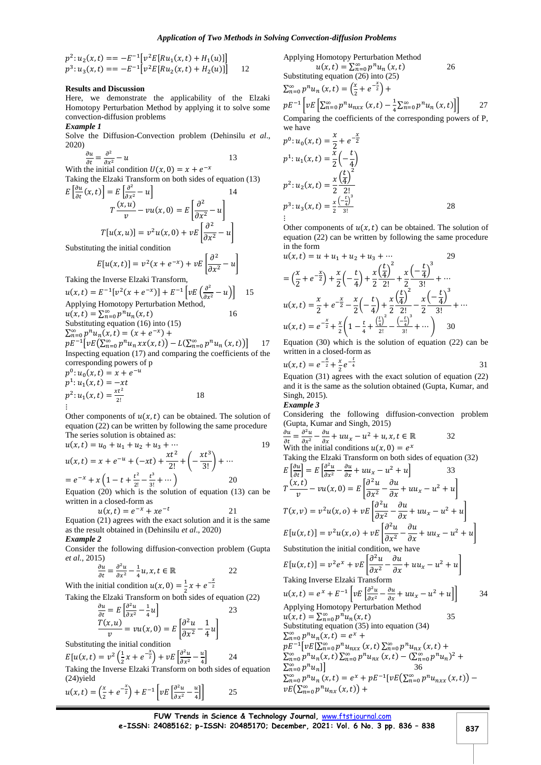$$
p^{2}: u_{2}(x,t) = -E^{-1}[v^{2}E[Ru_{1}(x,t) + H_{1}(u)]]
$$
  

$$
p^{3}: u_{3}(x,t) = -E^{-1}[v^{2}E[Ru_{2}(x,t) + H_{2}(u)]]
$$
 12

#### **Results and Discussion**

Here, we demonstrate the applicability of the Elzaki Homotopy Perturbation Method by applying it to solve some convection-diffusion problems *Example 1*

Solve the Diffusion-Convection problem (Dehinsilu *et al*., 2020)

$$
\frac{\partial u}{\partial t} = \frac{\partial^2}{\partial x^2} - u
$$
  
With the initial condition  $U(x, 0) = x + e^{-x}$ 

Taking the Elzaki Transform on both sides of equation (13)  $E\left[\frac{\partial u}{\partial t}\right]$  $\left[\frac{\partial u}{\partial t}(x,t)\right] = E\left[\frac{\partial^2}{\partial x^2} - u\right]$  14

$$
T\left[\frac{(x, v)}{v} - vu(x, 0)\right] = E\left[\frac{\partial^2}{\partial x^2} - u\right]
$$

$$
T\left[u(x, u)\right] = v^2 u(x, 0) + vE\left[\frac{\partial^2}{\partial x^2} - u\right]
$$

Substituting the initial condition

$$
E[u(x,t)] = v^2(x + e^{-x}) + vE\left[\frac{\partial^2}{\partial x^2} -
$$

 $\boldsymbol{u}$ 

Taking the inverse Eizaki Transform,  

$$
u(x,t) = E^{-1}[v^2(x + e^{-x})] + E^{-1}[vE(\frac{\partial^2}{\partial x^2} - u)] \quad 15
$$

Applying Homotopy Perturbation Method,

 $u(x,t) = \sum_{n=0}^{\infty} p^n u_n(x,t)$  16

Substituting equation 
$$
(16)
$$
 into  $(15)$ 

 $\sum_{n=0}^{\infty} p^n u_n(x,t) = (x + e^{-x}) +$  $pE^{-1}[vE(\sum_{n=0}^{\infty} p^n u_n xx(x,t)) - L(\sum_{n=0}^{\infty} p^n u_n (x,t))]$  17 Inspecting equation (17) and comparing the coefficients of the

corresponding powers of p  
\n
$$
p^0
$$
:  $u_0(x, t) = x + e^{-u}$   
\n $p^1$ :  $u_1(x, t) = -xt$   
\n $p^2$ :  $u_1(x, t) = \frac{xt^2}{2!}$   
\n...

Other components of  $u(x,t)$  can be obtained. The solution of equation (22) can be written by following the same procedure The series solution is obtained as:

18

$$
u(x,t) = u_0 + u_1 + u_2 + u_3 + \cdots
$$
  
\n
$$
u(x,t) = x + e^{-u} + (-xt) + \frac{xt^2}{2!} + \left(-\frac{xt^3}{3!}\right) + \cdots
$$
  
\n
$$
= e^{-x} + x \left(1 - t + \frac{t^2}{2!} - \frac{t^3}{3!} + \cdots \right)
$$
  
\nEquation (20) which is the solution of equation (13) can be

Equation (20) which is the solution of equation (13) can be written in a closed-form as

$$
u(x,t) = e^{-x} + xe^{-t}
$$
 21  
(31) express with the exact solution and it is the sum

Equation (21) agrees with the exact solution and it is the same as the result obtained in (Dehinsilu *et al*., 2020) *Example 2*

Consider the following diffusion-convection problem (Gupta *et al.*, 2015)

$$
\frac{\partial u}{\partial t} = \frac{\partial^2 u}{\partial x^2} - \frac{1}{4} u, x, t \in \mathbb{R}
$$
 22

With the initial condition 
$$
u(x, 0) = \frac{1}{2}x + e^{-\frac{2}{2}}
$$

Taking the Elzaki Transform on both sides of equation (22)

$$
\frac{\partial u}{\partial t} = E \left[ \frac{\partial^2 u}{\partial x^2} - \frac{1}{4} u \right]
$$
  

$$
\frac{T(x, u)}{v} = vu(x, 0) = E \left[ \frac{\partial^2 u}{\partial x^2} - \frac{1}{4} u \right]
$$

Substituting the initial condition x

$$
E[u(x, t) = v^2 \left(\frac{1}{2}x + e^{-\frac{x}{2}}\right) + vE\left[\frac{\partial^2 u}{\partial x^2} - \frac{u}{4}\right]
$$
 24  
Taking the Inverse Elzaki Transform on both sides of equation  
(24)yield

$$
u(x,t) = \left(\frac{x}{2} + e^{-\frac{x}{2}}\right) + E^{-1}\left[vE\left[\frac{\partial^2 u}{\partial x^2} - \frac{u}{4}\right]\right]
$$
 25

Applying Homotopy Perturbation Method

$$
u(x,t) = \sum_{n=0}^{\infty} p^n u_n(x,t)
$$
 26  
Substituting equation (26) into (25)  

$$
\sum_{n=0}^{\infty} p^n u_n(x,t) = \left(\frac{x}{2} + e^{-\frac{x}{2}}\right) +
$$
  

$$
pE^{-1} \left[ \nu E \left[ \sum_{n=0}^{\infty} p^n u_{nxx}(x,t) - \frac{1}{4} \sum_{n=0}^{\infty} p^n u_n(x,t) \right] \right]
$$
 27

Comparing the coefficients of the corresponding powers of P, we have

$$
p^{0}: u_{0}(x, t) = \frac{x}{2} + e^{-\frac{x}{2}}
$$
  
\n
$$
p^{1}: u_{1}(x, t) = \frac{x}{2} \left(-\frac{t}{4}\right)
$$
  
\n
$$
p^{2}: u_{2}(x, t) = \frac{x}{2} \frac{\left(\frac{t}{4}\right)^{2}}{2!}
$$
  
\n
$$
p^{3}: u_{3}(x, t) = \frac{x}{2} \frac{\left(-\frac{t}{4}\right)^{3}}{3!}
$$
  
\n
$$
\vdots
$$

Other components of  $u(x, t)$  can be obtained. The solution of equation (22) can be written by following the same procedure in the form

$$
u(x,t) = u + u_1 + u_2 + u_3 + \cdots
$$
  
\n
$$
= \left(\frac{x}{2} + e^{-\frac{x}{2}}\right) + \frac{x}{2} \left(-\frac{t}{4}\right) + \frac{x}{2} \frac{\left(\frac{t}{4}\right)^2}{2!} + \frac{x}{2} \frac{\left(-\frac{t}{4}\right)^3}{3!} + \cdots
$$
  
\n
$$
u(x,t) = \frac{x}{2} + e^{-\frac{x}{2}} - \frac{x}{2} \left(-\frac{t}{4}\right) + \frac{x}{2} \frac{\left(\frac{t}{4}\right)^2}{2!} - \frac{x}{2} \frac{\left(-\frac{t}{4}\right)^3}{3!} + \cdots
$$
  
\n
$$
u(x,t) = e^{-\frac{x}{2}} + \frac{x}{2} \left(1 - \frac{t}{4} + \frac{\left(\frac{t}{4}\right)^2}{2!} - \frac{\left(-\frac{t}{4}\right)^3}{3!} + \cdots\right)
$$
  
\n30

Equation (30) which is the solution of equation (22) can be written in a closed-form as

$$
u(x,t) = e^{-\frac{x}{2}} + \frac{x}{2}e^{-\frac{t}{4}}
$$

Equation (31) agrees with the exact solution of equation (22) and it is the same as the solution obtained (Gupta, Kumar, and Singh, 2015).

*Example 3*

Considering the following diffusion-convection problem (Gupta, Kumar and Singh, 2015)

$$
\frac{\partial u}{\partial t} = \frac{\partial^2 u}{\partial x^2} - \frac{\partial u}{\partial x} + uu_x - u^2 + u, x, t \in \mathbb{R}
$$
  
32  
With the initial conditions  $u(x, 0) = e^x$ 

Taking the Elzaki Transform on both sides of equation (32)

$$
E\left[\frac{\partial u}{\partial t}\right] = E\left[\frac{\partial^2 u}{\partial x^2} - \frac{\partial u}{\partial x} + uu_x - u^2 + u\right]
$$
  
\n
$$
T\frac{(x, t)}{v} - vu(x, 0) = E\left[\frac{\partial^2 u}{\partial x^2} - \frac{\partial u}{\partial x} + uu_x - u^2 + u\right]
$$
  
\n
$$
T(x, v) = v^2 u(x, 0) + vE\left[\frac{\partial^2 u}{\partial x^2} - \frac{\partial u}{\partial x} + uu_x - u^2 + u\right]
$$
  
\n
$$
E[u(x, t)] = v^2 u(x, 0) + vE\left[\frac{\partial^2 u}{\partial x^2} - \frac{\partial u}{\partial x} + uu_x - u^2 + u\right]
$$

 $\int \partial x^2$ Substitution the initial condition, we have

$$
E[u(x,t)] = v^2 e^x + vE\left[\frac{\partial^2 u}{\partial x^2} - \frac{\partial u}{\partial x} + uu_x - u^2 + u\right]
$$
  
Taking Inverse Elzaki Transform

$$
u(x,t) = e^x + E^{-1} \left[ vE \left[ \frac{\partial^2 u}{\partial x^2} - \frac{\partial u}{\partial x} + uu_x - u^2 + u \right] \right]
$$
  
Applying Homotopy Perturbation Method  

$$
u(x,t) = \sum_{n=0}^{\infty} p^n u_n(x,t)
$$
  
Substituting equation (35) into equation (34)  

$$
\sum_{n=0}^{\infty} p^n u_n(x,t) = e^x +
$$
  

$$
pE^{-1} \left[ vE[\sum_{n=0}^{\infty} p^n u_{nxx}(x,t) \sum_{n=0}^{\infty} p^n u_{nx}(x,t) + \right]
$$

$$
p_{1}^{(1)}\sum_{n=0}^{\infty} p^{n} u_{n}(x,t) \sum_{n=0}^{\infty} p^{n} u_{nx}(x,t) - \sum_{n=0}^{\infty} p^{n} u_{n}(x,t) \sum_{n=0}^{\infty} p^{n} u_{nx}(x,t) - (\sum_{n=0}^{\infty} p^{n} u_{n})^{2} + \sum_{n=0}^{\infty} p^{n} u_{n} u_{n}(x,t) = e^{x} + p E^{-1} [v E(\sum_{n=0}^{\infty} p^{n} u_{n}x(x,t)) - v E(\sum_{n=0}^{\infty} p^{n} u_{nx}(x,t)) +
$$